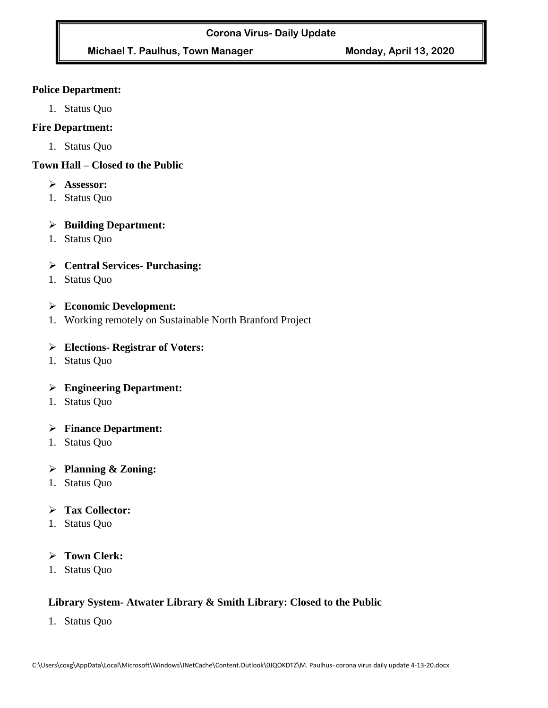#### **Corona Virus- Daily Update**

## **Michael T. Paulhus, Town Manager Monday, April 13, 2020**

#### **Police Department:**

1. Status Quo

#### **Fire Department:**

1. Status Quo

#### **Town Hall – Closed to the Public**

- ➢ **Assessor:**
- 1. Status Quo

#### ➢ **Building Department:**

1. Status Quo

## ➢ **Central Services- Purchasing:**

1. Status Quo

#### ➢ **Economic Development:**

1. Working remotely on Sustainable North Branford Project

#### ➢ **Elections- Registrar of Voters:**

1. Status Quo

#### ➢ **Engineering Department:**

1. Status Quo

#### ➢ **Finance Department:**

1. Status Quo

#### ➢ **Planning & Zoning:**

1. Status Quo

#### ➢ **Tax Collector:**

1. Status Quo

## ➢ **Town Clerk:**

1. Status Quo

## **Library System- Atwater Library & Smith Library: Closed to the Public**

1. Status Quo